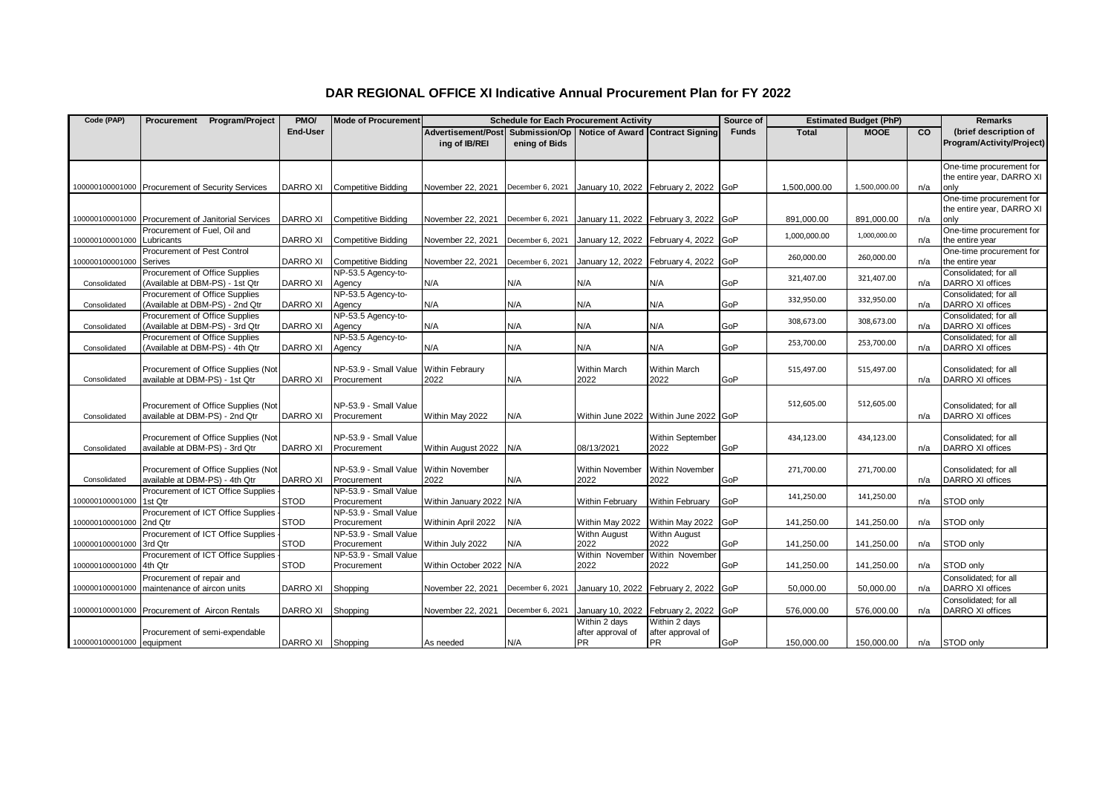|  |  | DAR REGIONAL OFFICE XI Indicative Annual Procurement Plan for FY 2022 |  |
|--|--|-----------------------------------------------------------------------|--|
|--|--|-----------------------------------------------------------------------|--|

| Code (PAP)                                       |                                                                   | Procurement Program/Project                        | PMO/              | <b>Mode of Procurement</b>                           |                                                   |                  | <b>Schedule for Each Procurement Activity</b>   |                                                 | Source of    | <b>Estimated Budget (PhP)</b> |              |     | <b>Remarks</b>                                                |
|--------------------------------------------------|-------------------------------------------------------------------|----------------------------------------------------|-------------------|------------------------------------------------------|---------------------------------------------------|------------------|-------------------------------------------------|-------------------------------------------------|--------------|-------------------------------|--------------|-----|---------------------------------------------------------------|
|                                                  |                                                                   |                                                    | <b>End-User</b>   |                                                      | Advertisement/Post Submission/Op<br>ing of IB/REI | ening of Bids    | Notice of Award Contract Signing                |                                                 | <b>Funds</b> | <b>Total</b>                  | <b>MOOE</b>  | CO  | (brief description of<br>Program/Activity/Project)            |
| 100000100001000 Procurement of Security Services |                                                                   |                                                    | DARRO XI          | <b>Competitive Bidding</b>                           | November 22, 2021                                 | December 6, 2021 |                                                 | January 10, 2022 February 2, 2022 GoP           |              | 1.500.000.00                  | 1,500,000.00 | n/a | One-time procurement for<br>the entire year, DARRO XI<br>only |
|                                                  |                                                                   | 100000100001000 Procurement of Janitorial Services | DARRO XI          | <b>Competitive Bidding</b>                           | November 22, 2021                                 | December 6, 2021 |                                                 | January 11, 2022 February 3, 2022 GoP           |              | 891,000.00                    | 891,000.00   | n/a | One-time procurement for<br>the entire year, DARRO XI<br>only |
| 100000100001000                                  | Procurement of Fuel. Oil and<br>Lubricants                        |                                                    | DARRO XI          | <b>Competitive Bidding</b>                           | November 22, 2021                                 | December 6, 2021 | January 12, 2022 February 4, 2022               |                                                 | GoP          | 1,000,000.00                  | 1,000,000.00 | n/a | One-time procurement for<br>the entire year                   |
| 100000100001000                                  | Procurement of Pest Control<br>Serives                            |                                                    | DARRO XI          | <b>Competitive Bidding</b>                           | November 22, 2021                                 | December 6, 2021 | January 12, 2022 February 4, 2022               |                                                 | GoP          | 260,000.00                    | 260,000.00   | n/a | One-time procurement for<br>the entire year                   |
| Consolidated                                     | Procurement of Office Supplies<br>(Available at DBM-PS) - 1st Qtr |                                                    | <b>DARRO XI</b>   | NP-53.5 Agency-to-<br>Agency                         | N/A                                               | N/A              | N/A                                             | N/A                                             | GoP          | 321,407.00                    | 321,407.00   | n/a | Consolidated: for all<br><b>DARRO XI offices</b>              |
| Consolidated                                     | Procurement of Office Supplies<br>(Available at DBM-PS) - 2nd Qtr |                                                    | <b>DARRO XI</b>   | NP-53.5 Agency-to-<br>Agency                         | N/A                                               | N/A              | N/A                                             | N/A                                             | GoP          | 332.950.00                    | 332,950.00   | n/a | Consolidated; for all<br>DARRO XI offices                     |
| Consolidated                                     | Procurement of Office Supplies<br>(Available at DBM-PS) - 3rd Qtr |                                                    | <b>DARRO XI</b>   | NP-53.5 Agency-to-<br>Agency                         | N/A                                               | N/A              | N/A                                             | N/A                                             | GoP          | 308,673.00                    | 308,673.00   | n/a | Consolidated; for all<br>DARRO XI offices                     |
| Consolidated                                     | Procurement of Office Supplies<br>(Available at DBM-PS) - 4th Qtr |                                                    | <b>DARRO XI</b>   | NP-53.5 Agency-to-<br>Agency                         | N/A                                               | N/A              | N/A                                             | N/A                                             | GoP          | 253,700.00                    | 253,700.00   | n/a | Consolidated: for all<br>DARRO XI offices                     |
| Consolidated                                     | available at DBM-PS) - 1st Qtr                                    | Procurement of Office Supplies (Not                | <b>DARRO XI</b>   | NP-53.9 - Small Value Within Febraury<br>Procurement | 2022                                              | N/A              | Within March<br>2022                            | <b>Within March</b><br>2022                     | GoP          | 515,497.00                    | 515,497.00   | n/a | Consolidated: for all<br><b>DARRO XI offices</b>              |
| Consolidated                                     | available at DBM-PS) - 2nd Qtr                                    | Procurement of Office Supplies (Not                | <b>DARRO XI</b>   | NP-53.9 - Small Value<br>Procurement                 | Within May 2022                                   | N/A              |                                                 | Within June 2022 Within June 2022 GoP           |              | 512,605.00                    | 512,605.00   | n/a | Consolidated: for all<br>DARRO XI offices                     |
| Consolidated                                     | available at DBM-PS) - 3rd Qtr                                    | Procurement of Office Supplies (Not                | <b>DARRO XI</b>   | NP-53.9 - Small Value<br>Procurement                 | Within August 2022                                | N/A              | 08/13/2021                                      | Within September<br>2022                        | GoP          | 434,123.00                    | 434,123.00   | n/a | Consolidated: for all<br>DARRO XI offices                     |
| Consolidated                                     | available at DBM-PS) - 4th Qtr                                    | Procurement of Office Supplies (Not                | <b>DARRO XI</b>   | NP-53.9 - Small Value Within November<br>Procurement | 2022                                              | N/A              | Within November<br>2022                         | Within November<br>2022                         | GoP          | 271,700.00                    | 271,700.00   | n/a | Consolidated; for all<br>DARRO XI offices                     |
| 100000100001000                                  | 1st Qtr                                                           | Procurement of ICT Office Supplies                 | <b>STOD</b>       | NP-53.9 - Small Value<br>Procurement                 | Within January 2022 N/A                           |                  | Within February                                 | Within February                                 | GoP          | 141,250.00                    | 141,250.00   | n/a | STOD only                                                     |
| 100000100001000                                  | 2nd Qtr                                                           | Procurement of ICT Office Supplies                 | <b>STOD</b>       | NP-53.9 - Small Value<br>Procurement                 | Withinin April 2022                               | N/A              | Within May 2022                                 | Within May 2022                                 | GoP          | 141,250.00                    | 141,250.00   | n/a | STOD only                                                     |
| 100000100001000                                  | 3rd Qtr                                                           | Procurement of ICT Office Supplies                 | <b>STOD</b>       | NP-53.9 - Small Value<br>Procurement                 | Within July 2022                                  | N/A              | Withn August<br>2022                            | Withn August<br>2022                            | GoP          | 141,250.00                    | 141,250.00   | n/a | STOD only                                                     |
| 100000100001000                                  | 4th Qtr                                                           | Procurement of ICT Office Supplies                 | <b>STOD</b>       | NP-53.9 - Small Value<br>Procurement                 | Within October 2022 N/A                           |                  | Within November<br>2022                         | Within November<br>2022                         | GoP          | 141,250.00                    | 141,250.00   | n/a | STOD only                                                     |
| 100000100001000                                  | Procurement of repair and<br>maintenance of aircon units          |                                                    | DARRO XI          | Shopping                                             | November 22, 2021                                 | December 6, 2021 | January 10, 2022 February 2, 2022               |                                                 | GoP          | 50,000.00                     | 50,000.00    | n/a | Consolidated: for all<br><b>DARRO XI offices</b>              |
| 100000100001000 Procurement of Aircon Rentals    |                                                                   |                                                    | DARRO XI          | Shopping                                             | November 22, 2021                                 | December 6, 2021 | January 10, 2022 February 2, 2022               |                                                 | GoP          | 576,000.00                    | 576,000.00   | n/a | Consolidated; for all<br>DARRO XI offices                     |
| 100000100001000 equipment                        | Procurement of semi-expendable                                    |                                                    | DARRO XI Shopping |                                                      | As needed                                         | N/A              | Within 2 days<br>after approval of<br><b>PR</b> | Within 2 days<br>after approval of<br><b>PR</b> | GoP          | 150.000.00                    | 150,000.00   | n/a | STOD only                                                     |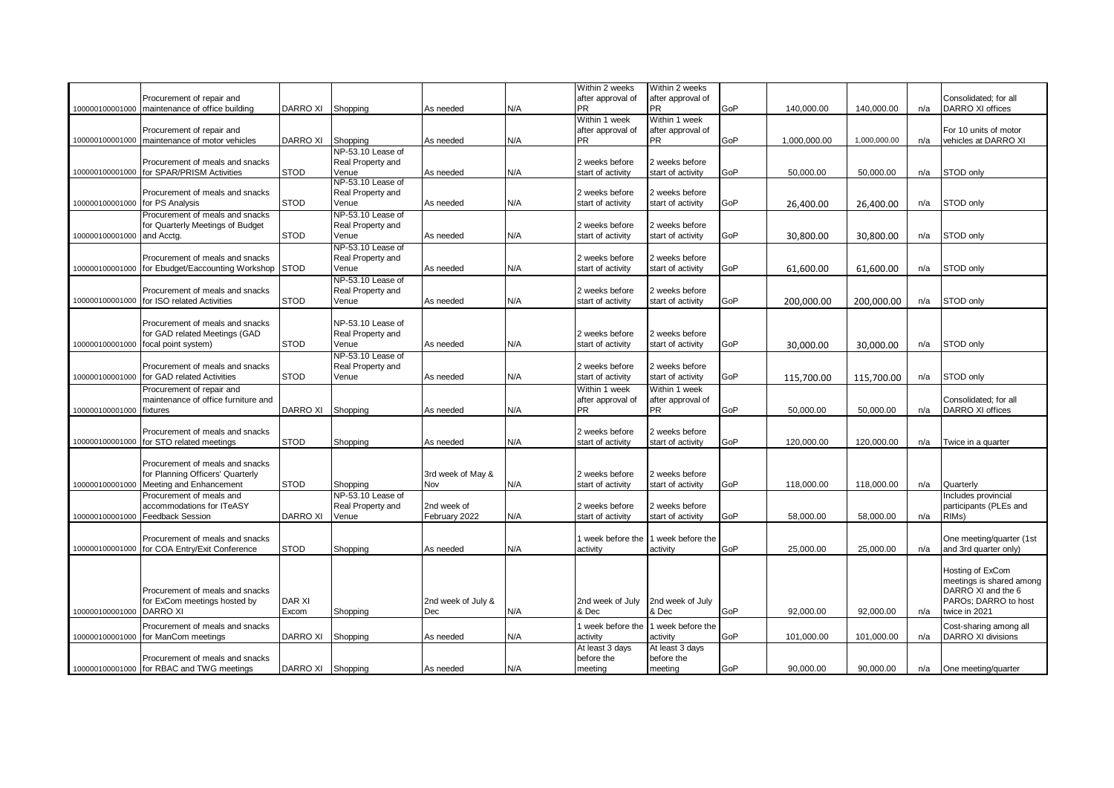|                 |                                           |                 |                   |                    |     | Within 2 weeks    | Within 2 weeks    |     |              |              |     |                           |
|-----------------|-------------------------------------------|-----------------|-------------------|--------------------|-----|-------------------|-------------------|-----|--------------|--------------|-----|---------------------------|
|                 | Procurement of repair and                 |                 |                   |                    |     | after approval of | after approval of |     |              |              |     | Consolidated; for all     |
| 100000100001000 | maintenance of office building            | DARRO XI        | Shopping          | As needed          | N/A | <b>PR</b>         | <b>PR</b>         | GoP | 140,000.00   | 140,000.00   | n/a | DARRO XI offices          |
|                 |                                           |                 |                   |                    |     | Within 1 week     | Within 1 week     |     |              |              |     |                           |
|                 | Procurement of repair and                 |                 |                   |                    |     | after approval of | after approval of |     |              |              |     | For 10 units of motor     |
| 100000100001000 | maintenance of motor vehicles             | DARRO XI        | Shopping          | As needed          | N/A | <b>PR</b>         | <b>PR</b>         | GoP | 1,000,000.00 | 1,000,000.00 | n/a | vehicles at DARRO XI      |
|                 |                                           |                 | NP-53.10 Lease of |                    |     |                   |                   |     |              |              |     |                           |
|                 |                                           |                 |                   |                    |     |                   |                   |     |              |              |     |                           |
|                 | Procurement of meals and snacks           |                 | Real Property and |                    |     | 2 weeks before    | 2 weeks before    |     |              |              |     |                           |
| 100000100001000 | for SPAR/PRISM Activities                 | <b>STOD</b>     | Venue             | As needed          | N/A | start of activity | start of activity | GoP | 50.000.00    | 50,000.00    | n/a | STOD only                 |
|                 |                                           |                 | NP-53.10 Lease of |                    |     |                   |                   |     |              |              |     |                           |
|                 | Procurement of meals and snacks           |                 | Real Property and |                    |     | 2 weeks before    | 2 weeks before    |     |              |              |     |                           |
| 100000100001000 | for PS Analysis                           | <b>STOD</b>     | Venue             | As needed          | N/A | start of activity | start of activity | GoP | 26,400.00    | 26,400.00    | n/a | STOD only                 |
|                 | Procurement of meals and snacks           |                 | NP-53.10 Lease of |                    |     |                   |                   |     |              |              |     |                           |
|                 | for Quarterly Meetings of Budget          |                 | Real Property and |                    |     | 2 weeks before    | weeks before      |     |              |              |     |                           |
|                 |                                           | <b>STOD</b>     |                   |                    | N/A |                   |                   | GoP |              |              |     |                           |
| 100000100001000 | and Acctg.                                |                 | Venue             | As needed          |     | start of activity | start of activity |     | 30,800.00    | 30,800.00    | n/a | STOD only                 |
|                 |                                           |                 | NP-53.10 Lease of |                    |     |                   |                   |     |              |              |     |                           |
|                 | Procurement of meals and snacks           |                 | Real Property and |                    |     | 2 weeks before    | weeks before      |     |              |              |     |                           |
| 100000100001000 | for Ebudget/Eaccounting Workshop STOD     |                 | Venue             | As needed          | N/A | start of activity | start of activity | GoP | 61.600.00    | 61.600.00    | n/a | STOD only                 |
|                 |                                           |                 | NP-53.10 Lease of |                    |     |                   |                   |     |              |              |     |                           |
|                 | Procurement of meals and snacks           |                 | Real Property and |                    |     | 2 weeks before    | 2 weeks before    |     |              |              |     |                           |
| 100000100001000 | for ISO related Activities                | <b>STOD</b>     | Venue             | As needed          | N/A | start of activity | start of activity | GoP |              |              |     | STOD only                 |
|                 |                                           |                 |                   |                    |     |                   |                   |     | 200.000.00   | 200,000.00   | n/a |                           |
|                 |                                           |                 |                   |                    |     |                   |                   |     |              |              |     |                           |
|                 | Procurement of meals and snacks           |                 | NP-53.10 Lease of |                    |     |                   |                   |     |              |              |     |                           |
|                 | for GAD related Meetings (GAD             |                 | Real Property and |                    |     | 2 weeks before    | 2 weeks before    |     |              |              |     |                           |
| 100000100001000 | focal point system)                       | <b>STOD</b>     | Venue             | As needed          | N/A | start of activity | start of activity | GoP | 30.000.00    | 30,000.00    | n/a | STOD only                 |
|                 |                                           |                 | NP-53.10 Lease of |                    |     |                   |                   |     |              |              |     |                           |
|                 | Procurement of meals and snacks           |                 | Real Property and |                    |     | 2 weeks before    | 2 weeks before    |     |              |              |     |                           |
|                 | for GAD related Activities                | <b>STOD</b>     |                   |                    | N/A |                   |                   | GoP |              |              |     |                           |
| 100000100001000 |                                           |                 | Venue             | As needed          |     | start of activity | start of activity |     | 115,700.00   | 115,700.00   | n/a | STOD only                 |
|                 | Procurement of repair and                 |                 |                   |                    |     | Within 1 week     | Within 1 week     |     |              |              |     |                           |
|                 | maintenance of office furniture and       |                 |                   |                    |     | after approval of | after approval of |     |              |              |     | Consolidated; for all     |
| 100000100001000 | fixtures                                  | DARRO XI        | Shopping          | As needed          | N/A | <b>PR</b>         | <b>PR</b>         | GoP | 50,000.00    | 50,000.00    | n/a | DARRO XI offices          |
|                 |                                           |                 |                   |                    |     |                   |                   |     |              |              |     |                           |
|                 | Procurement of meals and snacks           |                 |                   |                    |     | 2 weeks before    | 2 weeks before    |     |              |              |     |                           |
| 100000100001000 | for STO related meetings                  | <b>STOD</b>     | Shopping          | As needed          | N/A | start of activity | start of activity | GoP | 120,000.00   | 120,000.00   | n/a | Twice in a quarter        |
|                 |                                           |                 |                   |                    |     |                   |                   |     |              |              |     |                           |
|                 |                                           |                 |                   |                    |     |                   |                   |     |              |              |     |                           |
|                 | Procurement of meals and snacks           |                 |                   |                    |     |                   |                   |     |              |              |     |                           |
|                 | for Planning Officers' Quarterly          |                 |                   | 3rd week of May &  |     | 2 weeks before    | 2 weeks before    |     |              |              |     |                           |
| 100000100001000 | Meeting and Enhancement                   | <b>STOD</b>     | Shopping          | Nov                | N/A | start of activity | start of activity | GoP | 118,000.00   | 118,000.00   | n/a | Quarterly                 |
|                 | Procurement of meals and                  |                 | NP-53.10 Lease of |                    |     |                   |                   |     |              |              |     | Includes provincial       |
|                 | accommodations for ITeASY                 |                 | Real Property and | 2nd week of        |     | 2 weeks before    | 2 weeks before    |     |              |              |     | participants (PLEs and    |
| 100000100001000 | <b>Feedback Session</b>                   | <b>DARRO XI</b> | Venue             | February 2022      | N/A | start of activity | start of activity | GoP | 58,000.00    | 58,000.00    | n/a | RIMs)                     |
|                 |                                           |                 |                   |                    |     |                   |                   |     |              |              |     |                           |
|                 | Procurement of meals and snacks           |                 |                   |                    |     | 1 week before the | week before the   |     |              |              |     | One meeting/quarter (1st  |
| 100000100001000 | for COA Entry/Exit Conference             | <b>STOD</b>     | Shopping          | As needed          | N/A | activity          | activity          | GoP | 25.000.00    | 25.000.00    | n/a | and 3rd quarter only)     |
|                 |                                           |                 |                   |                    |     |                   |                   |     |              |              |     |                           |
|                 |                                           |                 |                   |                    |     |                   |                   |     |              |              |     |                           |
|                 |                                           |                 |                   |                    |     |                   |                   |     |              |              |     | Hosting of ExCom          |
|                 |                                           |                 |                   |                    |     |                   |                   |     |              |              |     | meetings is shared among  |
|                 | Procurement of meals and snacks           |                 |                   |                    |     |                   |                   |     |              |              |     | DARRO XI and the 6        |
|                 | for ExCom meetings hosted by              | <b>DAR XI</b>   |                   | 2nd week of July & |     | 2nd week of July  | 2nd week of July  |     |              |              |     | PAROs; DARRO to host      |
| 100000100001000 | <b>DARRO XI</b>                           | Excom           | Shopping          | Dec                | N/A | & Dec             | & Dec             | GoP | 92,000.00    | 92,000.00    | n/a | twice in 2021             |
|                 |                                           |                 |                   |                    |     |                   |                   |     |              |              |     |                           |
|                 | Procurement of meals and snacks           |                 |                   |                    |     | week before the   | 1 week before the |     |              |              |     | Cost-sharing among all    |
| 100000100001000 | or ManCom meetings                        | DARRO XI        | Shopping          | As needed          | N/A | activity          | activity          | GoP | 101,000.00   | 101,000.00   | n/a | <b>DARRO XI divisions</b> |
|                 |                                           |                 |                   |                    |     | At least 3 days   | At least 3 days   |     |              |              |     |                           |
|                 | Procurement of meals and snacks           |                 |                   |                    |     | before the        | before the        |     |              |              |     |                           |
|                 | 100000100001000 for RBAC and TWG meetings | DARRO XI        | Shopping          | As needed          | N/A | meeting           | meetina           | GoP | 90.000.00    | 90.000.00    |     | n/a One meeting/quarter   |
|                 |                                           |                 |                   |                    |     |                   |                   |     |              |              |     |                           |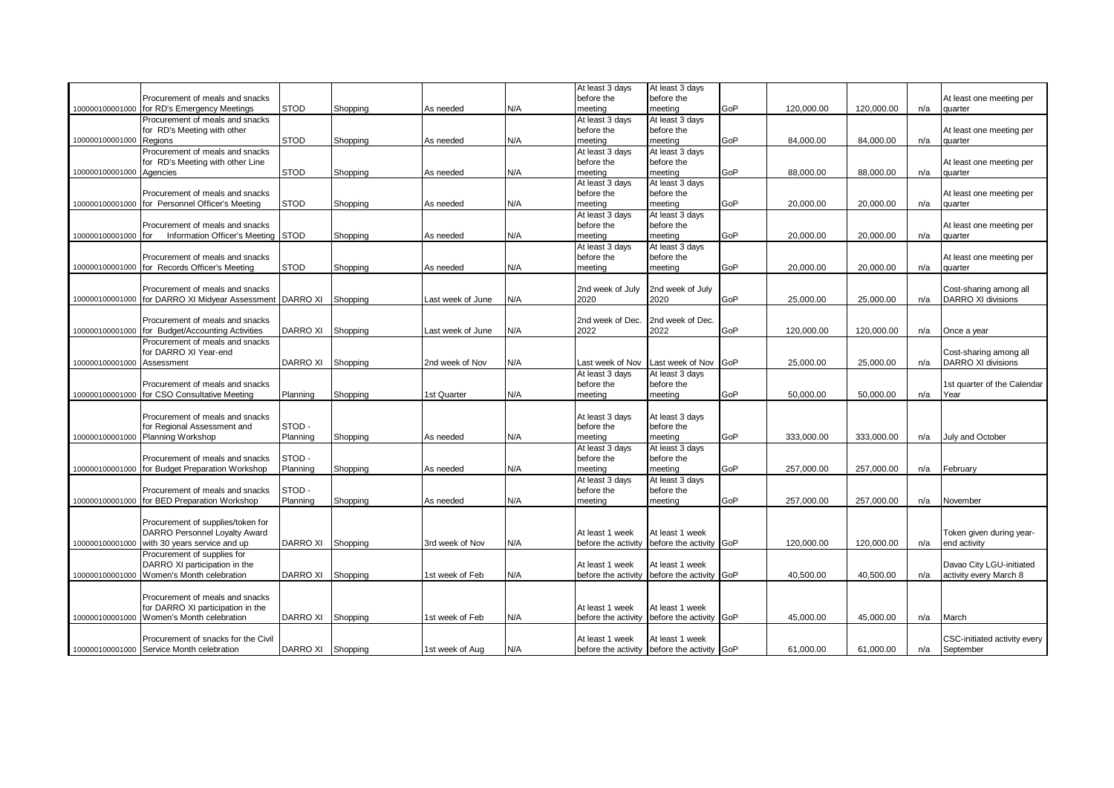|                          |                                           |                 |          |                   |     | At least 3 days     | At least 3 days                             |     |            |            |     |                              |
|--------------------------|-------------------------------------------|-----------------|----------|-------------------|-----|---------------------|---------------------------------------------|-----|------------|------------|-----|------------------------------|
|                          | Procurement of meals and snacks           |                 |          |                   |     | before the          | before the                                  |     |            |            |     | At least one meeting per     |
| 100000100001000          | for RD's Emergency Meetings               | <b>STOD</b>     | Shopping | As needed         | N/A | meeting             | meeting                                     | GoP | 120,000.00 | 120,000.00 | n/a | quarter                      |
|                          | Procurement of meals and snacks           |                 |          |                   |     | At least 3 days     | At least 3 days                             |     |            |            |     |                              |
|                          | for RD's Meeting with other               |                 |          |                   |     | before the          | before the                                  |     |            |            |     | At least one meeting per     |
| 100000100001000          | Regions                                   | <b>STOD</b>     | Shopping | As needed         | N/A | meeting             | meeting                                     | GoP | 84,000.00  | 84,000.00  | n/a | quarter                      |
|                          | Procurement of meals and snacks           |                 |          |                   |     | At least 3 days     | At least 3 days                             |     |            |            |     |                              |
|                          |                                           |                 |          |                   |     |                     | before the                                  |     |            |            |     |                              |
|                          | for RD's Meeting with other Line          | <b>STOD</b>     |          |                   | N/A | before the          |                                             | GoP |            |            |     | At least one meeting per     |
| 100000100001000 Agencies |                                           |                 | Shopping | As needed         |     | meeting             | meeting                                     |     | 88,000.00  | 88,000.00  | n/a | quarter                      |
|                          |                                           |                 |          |                   |     | At least 3 days     | At least 3 days                             |     |            |            |     |                              |
|                          | Procurement of meals and snacks           |                 |          |                   |     | before the          | before the                                  |     |            |            |     | At least one meeting per     |
| 100000100001000          | for Personnel Officer's Meeting           | STOD            | Shopping | As needed         | N/A | meeting             | meeting                                     | GoP | 20,000.00  | 20,000.00  | n/a | quarter                      |
|                          |                                           |                 |          |                   |     | At least 3 days     | At least 3 days                             |     |            |            |     |                              |
|                          | Procurement of meals and snacks           |                 |          |                   |     | before the          | before the                                  |     |            |            |     | At least one meeting per     |
| 00000100001000           | Information Officer's Meeting<br>for      | <b>STOD</b>     | Shopping | As needed         | N/A | meeting             | meeting                                     | GoP | 20,000.00  | 20,000.00  | n/a | quarter                      |
|                          |                                           |                 |          |                   |     | At least 3 days     | At least 3 days                             |     |            |            |     |                              |
|                          | Procurement of meals and snacks           |                 |          |                   |     | before the          | before the                                  |     |            |            |     | At least one meeting per     |
| 100000100001000          | for Records Officer's Meeting             | <b>STOD</b>     | Shopping | As needed         | N/A | meeting             | meeting                                     | GoP | 20,000.00  | 20,000.00  | n/a | quarter                      |
|                          |                                           |                 |          |                   |     |                     |                                             |     |            |            |     |                              |
|                          |                                           |                 |          |                   |     |                     |                                             |     |            |            |     |                              |
|                          | Procurement of meals and snacks           |                 |          |                   |     | 2nd week of July    | 2nd week of July                            |     |            |            |     | Cost-sharing among all       |
| 100000100001000          | for DARRO XI Midyear Assessment           | <b>DARRO XI</b> | Shopping | Last week of June | N/A | 2020                | 2020                                        | GoP | 25,000.00  | 25,000.00  | n/a | <b>DARRO XI divisions</b>    |
|                          |                                           |                 |          |                   |     |                     |                                             |     |            |            |     |                              |
|                          | Procurement of meals and snacks           |                 |          |                   |     | 2nd week of Dec.    | 2nd week of Dec.                            |     |            |            |     |                              |
| 100000100001000          | for Budget/Accounting Activities          | DARRO XI        | Shopping | Last week of June | N/A | 2022                | 2022                                        | GoP | 120,000.00 | 120,000.00 | n/a | Once a year                  |
|                          | Procurement of meals and snacks           |                 |          |                   |     |                     |                                             |     |            |            |     |                              |
|                          | for DARRO XI Year-end                     |                 |          |                   |     |                     |                                             |     |            |            |     | Cost-sharing among all       |
| 100000100001000          | Assessment                                | DARRO XI        | Shopping | 2nd week of Nov   | N/A | Last week of Nov    | Last week of Nov                            | GoP | 25,000.00  | 25,000.00  | n/a | <b>DARRO XI divisions</b>    |
|                          |                                           |                 |          |                   |     | At least 3 days     | At least 3 days                             |     |            |            |     |                              |
|                          | Procurement of meals and snacks           |                 |          |                   |     | before the          | before the                                  |     |            |            |     | 1st quarter of the Calendar  |
| 100000100001000          | for CSO Consultative Meeting              | Planning        |          |                   | N/A | meeting             | meeting                                     | GoP | 50,000.00  | 50,000.00  | n/a | Year                         |
|                          |                                           |                 | Shopping | 1st Quarter       |     |                     |                                             |     |            |            |     |                              |
|                          |                                           |                 |          |                   |     |                     |                                             |     |            |            |     |                              |
|                          | Procurement of meals and snacks           |                 |          |                   |     | At least 3 days     | At least 3 days                             |     |            |            |     |                              |
|                          | for Regional Assessment and               | STOD-           |          |                   |     | before the          | before the                                  |     |            |            |     |                              |
| 100000100001000          | <b>Planning Workshop</b>                  | Planning        | Shopping | As needed         | N/A | meeting             | meeting                                     | GoP | 333,000.00 | 333,000.00 | n/a | July and October             |
|                          |                                           |                 |          |                   |     | At least 3 days     | At least 3 days                             |     |            |            |     |                              |
|                          | Procurement of meals and snacks           | STOD-           |          |                   |     | before the          | before the                                  |     |            |            |     |                              |
| 100000100001000          | for Budget Preparation Workshop           | Planning        | Shopping | As needed         | N/A | meeting             | meeting                                     | GoP | 257,000.00 | 257,000.00 | n/a | February                     |
|                          |                                           |                 |          |                   |     | At least 3 days     | At least 3 days                             |     |            |            |     |                              |
|                          | Procurement of meals and snacks           | STOD-           |          |                   |     | before the          | before the                                  |     |            |            |     |                              |
| 100000100001000          | for BED Preparation Workshop              | Planning        | Shopping | As needed         | N/A | meeting             | meeting                                     | GoP | 257.000.00 | 257.000.00 | n/a | November                     |
|                          |                                           |                 |          |                   |     |                     |                                             |     |            |            |     |                              |
|                          |                                           |                 |          |                   |     |                     |                                             |     |            |            |     |                              |
|                          | Procurement of supplies/token for         |                 |          |                   |     |                     |                                             |     |            |            |     |                              |
|                          | DARRO Personnel Loyalty Award             |                 |          |                   |     | At least 1 week     | At least 1 week                             |     |            |            |     | Token given during year-     |
| 00000100001000           | with 30 years service and up              | DARRO XI        | Shopping | 3rd week of Nov   | N/A | before the activity | before the activity GoP                     |     | 120,000.00 | 120,000.00 | n/a | end activity                 |
|                          | Procurement of supplies for               |                 |          |                   |     |                     |                                             |     |            |            |     |                              |
|                          | DARRO XI participation in the             |                 |          |                   |     | At least 1 week     | At least 1 week                             |     |            |            |     | Davao City LGU-initiated     |
| 100000100001000          | Women's Month celebration                 | DARRO XI        | Shopping | 1st week of Feb   | N/A | before the activity | before the activity GoP                     |     | 40,500.00  | 40,500.00  | n/a | activity every March 8       |
|                          |                                           |                 |          |                   |     |                     |                                             |     |            |            |     |                              |
|                          | Procurement of meals and snacks           |                 |          |                   |     |                     |                                             |     |            |            |     |                              |
|                          | for DARRO XI participation in the         |                 |          |                   |     | At least 1 week     | At least 1 week                             |     |            |            |     |                              |
| 100000100001000          | Women's Month celebration                 | DARRO XI        | Shopping | 1st week of Feb   | N/A | before the activity | before the activity                         | GoP | 45,000.00  | 45,000.00  | n/a | March                        |
|                          |                                           |                 |          |                   |     |                     |                                             |     |            |            |     |                              |
|                          |                                           |                 |          |                   |     |                     |                                             |     |            |            |     |                              |
|                          | Procurement of snacks for the Civil       |                 |          |                   |     | At least 1 week     | At least 1 week                             |     |            |            |     | CSC-initiated activity every |
|                          | 100000100001000 Service Month celebration | DARRO XI        | Shopping | 1st week of Aug   | N/A |                     | before the activity before the activity GoP |     | 61,000.00  | 61,000.00  | n/a | September                    |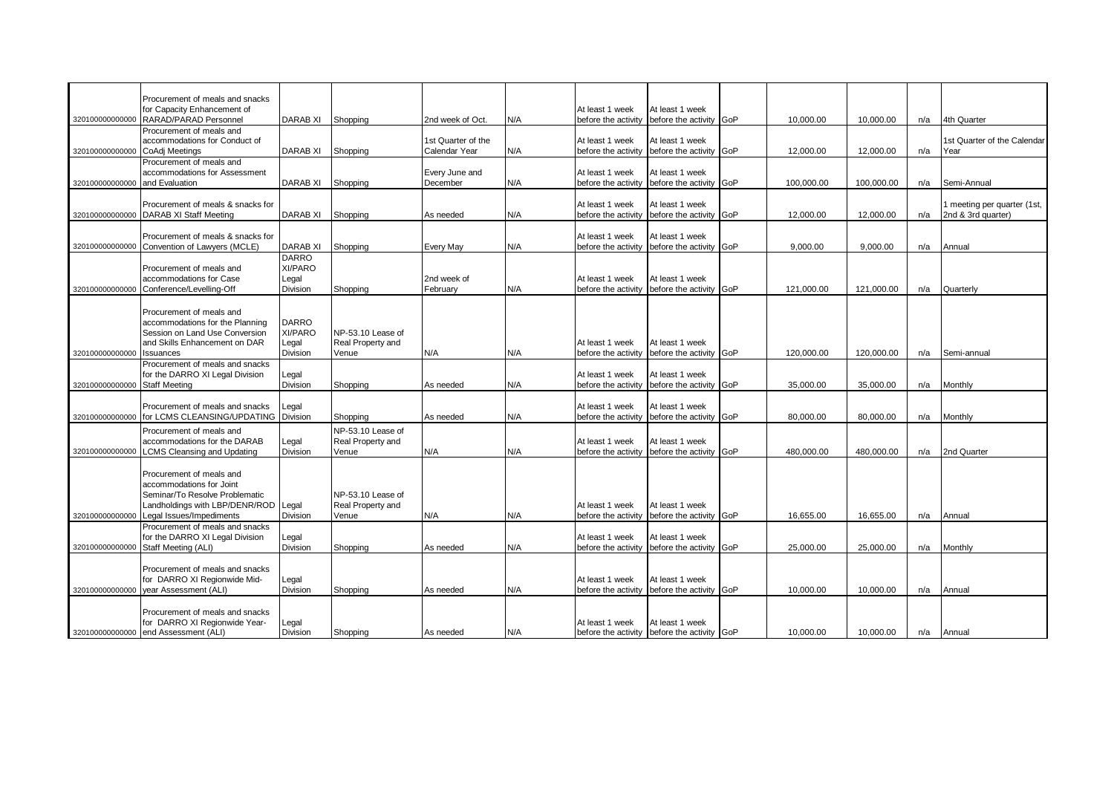|                 | Procurement of meals and snacks      |                   |                   |                    |     |                     |                                             |            |            |     |                             |
|-----------------|--------------------------------------|-------------------|-------------------|--------------------|-----|---------------------|---------------------------------------------|------------|------------|-----|-----------------------------|
|                 | for Capacity Enhancement of          |                   |                   |                    |     | At least 1 week     | At least 1 week                             |            |            |     |                             |
|                 | RARAD/PARAD Personnel                | <b>DARAB XI</b>   |                   | 2nd week of Oct.   | N/A |                     |                                             |            |            |     | 4th Quarter                 |
| 320100000000000 |                                      |                   | Shopping          |                    |     | before the activity | before the activity GoP                     | 10,000.00  | 10,000.00  | n/a |                             |
|                 | Procurement of meals and             |                   |                   |                    |     |                     |                                             |            |            |     |                             |
|                 | accommodations for Conduct of        |                   |                   | 1st Quarter of the |     | At least 1 week     | At least 1 week                             |            |            |     | 1st Quarter of the Calendar |
| 320100000000000 | CoAdj Meetings                       | <b>DARAB XI</b>   | Shopping          | Calendar Year      | N/A | before the activity | before the activity GoP                     | 12,000.00  | 12,000.00  | n/a | Year                        |
|                 | Procurement of meals and             |                   |                   |                    |     |                     |                                             |            |            |     |                             |
|                 | accommodations for Assessment        |                   |                   | Every June and     |     | At least 1 week     | At least 1 week                             |            |            |     |                             |
| 320100000000000 | and Evaluation                       | <b>DARAB XI</b>   | Shopping          | December           | N/A |                     | before the activity before the activity GoP | 100.000.00 | 100.000.00 | n/a | Semi-Annual                 |
|                 |                                      |                   |                   |                    |     |                     |                                             |            |            |     |                             |
|                 | Procurement of meals & snacks for    |                   |                   |                    |     | At least 1 week     | At least 1 week                             |            |            |     | I meeting per quarter (1st, |
| 320100000000000 | <b>DARAB XI Staff Meeting</b>        | <b>DARAB XI</b>   | Shopping          | As needed          | N/A | before the activity | before the activity GoP                     | 12.000.00  | 12,000.00  | n/a | 2nd & 3rd quarter)          |
|                 |                                      |                   |                   |                    |     |                     |                                             |            |            |     |                             |
|                 | Procurement of meals & snacks for    |                   |                   |                    |     | At least 1 week     | At least 1 week                             |            |            |     |                             |
| 320100000000000 | Convention of Lawyers (MCLE)         | <b>DARAB XI</b>   | Shopping          | Every May          | N/A | before the activity | before the activity GoP                     | 9.000.00   | 9,000.00   | n/a | Annual                      |
|                 |                                      |                   |                   |                    |     |                     |                                             |            |            |     |                             |
|                 |                                      | <b>DARRO</b>      |                   |                    |     |                     |                                             |            |            |     |                             |
|                 | Procurement of meals and             | XI/PARO           |                   |                    |     |                     |                                             |            |            |     |                             |
|                 | accommodations for Case              | Legal             |                   | 2nd week of        |     | At least 1 week     | At least 1 week                             |            |            |     |                             |
| 320100000000000 | Conference/Levelling-Off             | Division          | Shopping          | February           | N/A | before the activity | before the activity GoP                     | 121,000.00 | 121,000.00 | n/a | Quarterly                   |
|                 |                                      |                   |                   |                    |     |                     |                                             |            |            |     |                             |
|                 | Procurement of meals and             |                   |                   |                    |     |                     |                                             |            |            |     |                             |
|                 | accommodations for the Planning      | <b>DARRO</b>      |                   |                    |     |                     |                                             |            |            |     |                             |
|                 | Session on Land Use Conversion       | XI/PARO           | NP-53.10 Lease of |                    |     |                     |                                             |            |            |     |                             |
|                 | and Skills Enhancement on DAR        | Legal             | Real Property and |                    |     | At least 1 week     | At least 1 week                             |            |            |     |                             |
|                 | <b>Issuances</b>                     | Division          |                   | N/A                |     |                     | before the activity GoP                     | 120,000.00 |            |     | Semi-annual                 |
| 320100000000000 |                                      |                   | Venue             |                    | N/A | before the activity |                                             |            | 120,000.00 | n/a |                             |
|                 | Procurement of meals and snacks      |                   |                   |                    |     |                     |                                             |            |            |     |                             |
|                 | for the DARRO XI Legal Division      | Legal             |                   |                    |     | At least 1 week     | At least 1 week                             |            |            |     |                             |
| 320100000000000 | <b>Staff Meeting</b>                 | Division          | Shopping          | As needed          | N/A | before the activity | before the activity GoP                     | 35,000.00  | 35,000.00  | n/a | Monthly                     |
|                 |                                      |                   |                   |                    |     |                     |                                             |            |            |     |                             |
|                 | Procurement of meals and snacks      | Legal             |                   |                    |     | At least 1 week     | At least 1 week                             |            |            |     |                             |
| 320100000000000 | for LCMS CLEANSING/UPDATING          | Division          | Shopping          | As needed          | N/A | before the activity | before the activity GoP                     | 80,000.00  | 80,000.00  | n/a | Monthly                     |
|                 | Procurement of meals and             |                   | NP-53.10 Lease of |                    |     |                     |                                             |            |            |     |                             |
|                 | accommodations for the DARAB         |                   | Real Property and |                    |     | At least 1 week     | At least 1 week                             |            |            |     |                             |
|                 |                                      | Legal<br>Division |                   |                    |     |                     |                                             |            |            |     |                             |
| 320100000000000 | <b>LCMS Cleansing and Updating</b>   |                   | √enue             | N/A                | N/A |                     | before the activity before the activity GoP | 480.000.00 | 480.000.00 | n/a | 2nd Quarter                 |
|                 |                                      |                   |                   |                    |     |                     |                                             |            |            |     |                             |
|                 | Procurement of meals and             |                   |                   |                    |     |                     |                                             |            |            |     |                             |
|                 | accommodations for Joint             |                   |                   |                    |     |                     |                                             |            |            |     |                             |
|                 | Seminar/To Resolve Problematic       |                   | NP-53.10 Lease of |                    |     |                     |                                             |            |            |     |                             |
|                 | Landholdings with LBP/DENR/ROD Legal |                   | Real Property and |                    |     | At least 1 week     | At least 1 week                             |            |            |     |                             |
| 320100000000000 | Legal Issues/Impediments             | Division          | Venue             | N/A                | N/A |                     | before the activity before the activity GoP | 16,655.00  | 16,655.00  | n/a | Annual                      |
|                 | Procurement of meals and snacks      |                   |                   |                    |     |                     |                                             |            |            |     |                             |
|                 | for the DARRO XI Legal Division      | Legal             |                   |                    |     | At least 1 week     | At least 1 week                             |            |            |     |                             |
| 320100000000000 | Staff Meeting (ALI)                  | Division          | Shopping          | As needed          | N/A |                     | before the activity before the activity GoP | 25,000.00  | 25,000.00  | n/a | Monthly                     |
|                 |                                      |                   |                   |                    |     |                     |                                             |            |            |     |                             |
|                 | Procurement of meals and snacks      |                   |                   |                    |     |                     |                                             |            |            |     |                             |
|                 |                                      |                   |                   |                    |     |                     |                                             |            |            |     |                             |
|                 | for DARRO XI Regionwide Mid-         | Legal             |                   |                    |     | At least 1 week     | At least 1 week                             |            |            |     |                             |
| 320100000000000 | year Assessment (ALI)                | Division          | Shopping          | As needed          | N/A |                     | before the activity before the activity GoP | 10,000.00  | 10,000.00  | n/a | Annual                      |
|                 |                                      |                   |                   |                    |     |                     |                                             |            |            |     |                             |
|                 | Procurement of meals and snacks      |                   |                   |                    |     |                     |                                             |            |            |     |                             |
|                 |                                      |                   |                   |                    |     | At least 1 week     | At least 1 week                             |            |            |     |                             |
|                 | for DARRO XI Regionwide Year-        | Legal<br>Division | Shopping          |                    |     |                     |                                             |            |            |     |                             |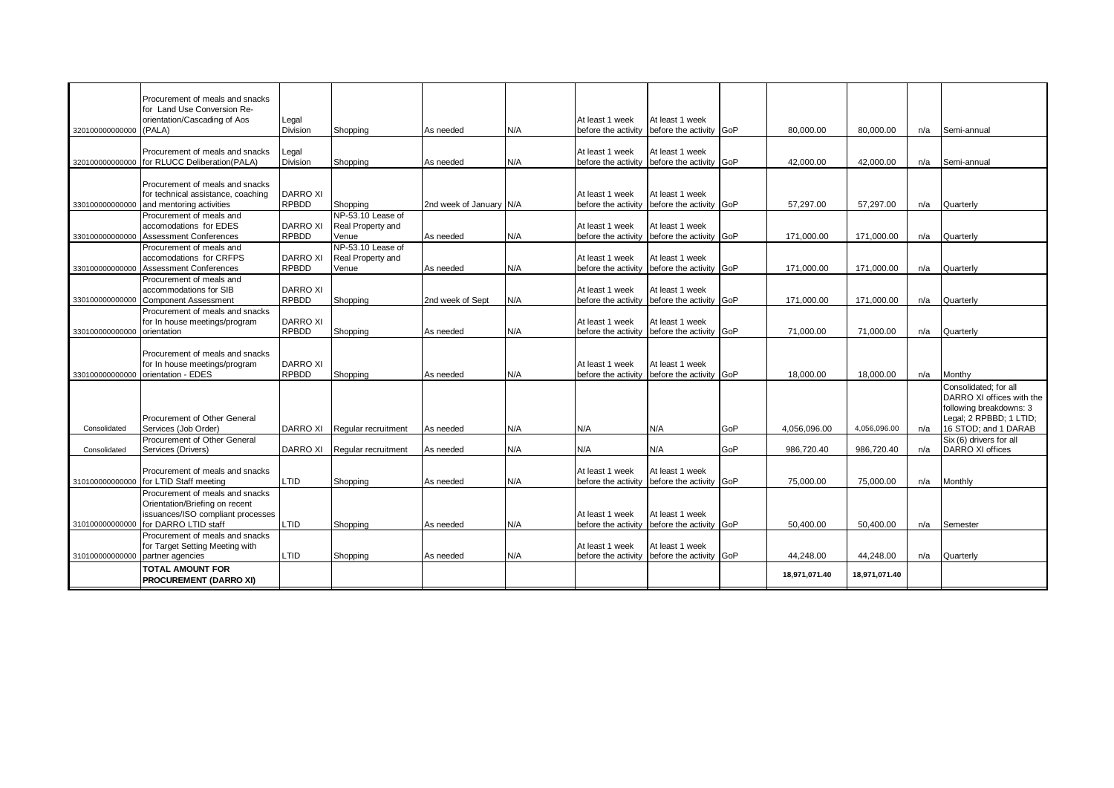|                 | Procurement of meals and snacks<br>for Land Use Conversion Re- |                                 |                                        |                         |     |                                        |                                            |            |               |               |     |                                                    |
|-----------------|----------------------------------------------------------------|---------------------------------|----------------------------------------|-------------------------|-----|----------------------------------------|--------------------------------------------|------------|---------------|---------------|-----|----------------------------------------------------|
|                 | orientation/Cascading of Aos                                   | Legal                           |                                        |                         |     | At least 1 week                        | At least 1 week                            |            |               |               |     |                                                    |
| 320100000000000 | (PALA)                                                         | <b>Division</b>                 | Shopping                               | As needed               | N/A | before the activity                    | before the activity GoP                    |            | 80.000.00     | 80,000.00     | n/a | Semi-annual                                        |
|                 | Procurement of meals and snacks                                | Legal                           |                                        |                         |     | At least 1 week                        | At least 1 week                            |            |               |               |     |                                                    |
| 320100000000000 | for RLUCC Deliberation(PALA)                                   | <b>Division</b>                 | Shopping                               | As needed               | N/A | before the activity                    | before the activity                        | GoP        | 42,000.00     | 42,000.00     | n/a | Semi-annual                                        |
|                 | Procurement of meals and snacks                                |                                 |                                        |                         |     |                                        |                                            |            |               |               |     |                                                    |
|                 | for technical assistance, coaching                             | <b>DARRO XI</b>                 |                                        |                         |     | At least 1 week                        | At least 1 week                            |            |               |               |     |                                                    |
| 330100000000000 | and mentoring activities                                       | <b>RPBDD</b>                    | Shopping                               | 2nd week of January N/A |     | before the activity                    | before the activity GoP                    |            | 57.297.00     | 57.297.00     | n/a | Quarterly                                          |
|                 | Procurement of meals and<br>accomodations for EDES             | <b>DARRO XI</b>                 | NP-53.10 Lease of<br>Real Property and |                         |     | At least 1 week                        | At least 1 week                            |            |               |               |     |                                                    |
| 330100000000000 | <b>Assessment Conferences</b>                                  | <b>RPBDD</b>                    | Venue                                  | As needed               | N/A | before the activity                    | before the activity                        | <b>GoP</b> | 171,000.00    | 171.000.00    | n/a | Quarterly                                          |
|                 | Procurement of meals and                                       |                                 | NP-53.10 Lease of                      |                         |     |                                        |                                            |            |               |               |     |                                                    |
| 330100000000000 | accomodations for CRFPS<br><b>Assessment Conferences</b>       | <b>DARRO XI</b><br><b>RPBDD</b> | Real Property and<br>Venue             | As needed               | N/A | At least 1 week<br>before the activity | At least 1 week<br>before the activity GoP |            | 171,000.00    | 171,000.00    | n/a | Quarterly                                          |
|                 | Procurement of meals and                                       |                                 |                                        |                         |     |                                        |                                            |            |               |               |     |                                                    |
|                 | accommodations for SIB                                         | <b>DARRO XI</b>                 |                                        |                         |     | At least 1 week                        | At least 1 week                            |            |               |               |     |                                                    |
| 330100000000000 | <b>Component Assessment</b><br>Procurement of meals and snacks | <b>RPBDD</b>                    | Shopping                               | 2nd week of Sept        | N/A | before the activity                    | before the activity GoP                    |            | 171,000.00    | 171,000.00    | n/a | Quarterly                                          |
|                 | for In house meetings/program                                  | <b>DARRO XI</b>                 |                                        |                         |     | At least 1 week                        | At least 1 week                            |            |               |               |     |                                                    |
| 330100000000000 | orientation                                                    | <b>RPBDD</b>                    | Shopping                               | As needed               | N/A | before the activity                    | before the activity GoP                    |            | 71,000.00     | 71,000.00     | n/a | Quarterly                                          |
|                 | Procurement of meals and snacks                                |                                 |                                        |                         |     |                                        |                                            |            |               |               |     |                                                    |
|                 | for In house meetings/program                                  | <b>DARRO XI</b>                 |                                        |                         |     | At least 1 week                        | At least 1 week                            |            |               |               |     |                                                    |
| 330100000000000 | orientation - EDES                                             | <b>RPBDD</b>                    | Shopping                               | As needed               | N/A | before the activity                    | before the activity GoP                    |            | 18.000.00     | 18,000.00     | n/a | Monthy                                             |
|                 |                                                                |                                 |                                        |                         |     |                                        |                                            |            |               |               |     | Consolidated: for all<br>DARRO XI offices with the |
|                 |                                                                |                                 |                                        |                         |     |                                        |                                            |            |               |               |     | following breakdowns: 3                            |
|                 | Procurement of Other General                                   |                                 |                                        |                         |     |                                        |                                            |            |               |               |     | Legal; 2 RPBBD; 1 LTID;                            |
| Consolidated    | Services (Job Order)<br>Procurement of Other General           | DARRO XI                        | Regular recruitment                    | As needed               | N/A | N/A                                    | N/A                                        | GoP        | 4.056.096.00  | 4.056.096.00  | n/a | 16 STOD; and 1 DARAB<br>Six (6) drivers for all    |
| Consolidated    | Services (Drivers)                                             | <b>DARRO XI</b>                 | Regular recruitment                    | As needed               | N/A | N/A                                    | N/A                                        | GoP        | 986,720.40    | 986,720.40    | n/a | DARRO XI offices                                   |
|                 |                                                                |                                 |                                        |                         |     |                                        |                                            |            |               |               |     |                                                    |
| 310100000000000 | Procurement of meals and snacks<br>for LTID Staff meeting      | LTID                            | Shopping                               | As needed               | N/A | At least 1 week<br>before the activity | At least 1 week<br>before the activity GoP |            | 75,000.00     | 75,000.00     | n/a | Monthly                                            |
|                 | Procurement of meals and snacks                                |                                 |                                        |                         |     |                                        |                                            |            |               |               |     |                                                    |
|                 | Orientation/Briefing on recent                                 |                                 |                                        |                         |     |                                        |                                            |            |               |               |     |                                                    |
| 310100000000000 | issuances/ISO compliant processes<br>for DARRO LTID staff      | LTID                            | Shopping                               | As needed               | N/A | At least 1 week<br>before the activity | At least 1 week<br>before the activity GoP |            | 50.400.00     | 50.400.00     | n/a | Semester                                           |
|                 | Procurement of meals and snacks                                |                                 |                                        |                         |     |                                        |                                            |            |               |               |     |                                                    |
|                 | for Target Setting Meeting with                                |                                 |                                        |                         |     | At least 1 week                        | At least 1 week                            |            |               |               |     |                                                    |
| 310100000000000 | partner agencies                                               | LTID                            | Shopping                               | As needed               | N/A | before the activity                    | before the activity GoP                    |            | 44,248.00     | 44,248.00     | n/a | Quarterly                                          |
|                 | <b>TOTAL AMOUNT FOR</b><br><b>PROCUREMENT (DARRO XI)</b>       |                                 |                                        |                         |     |                                        |                                            |            | 18,971,071.40 | 18.971.071.40 |     |                                                    |
|                 |                                                                |                                 |                                        |                         |     |                                        |                                            |            |               |               |     |                                                    |